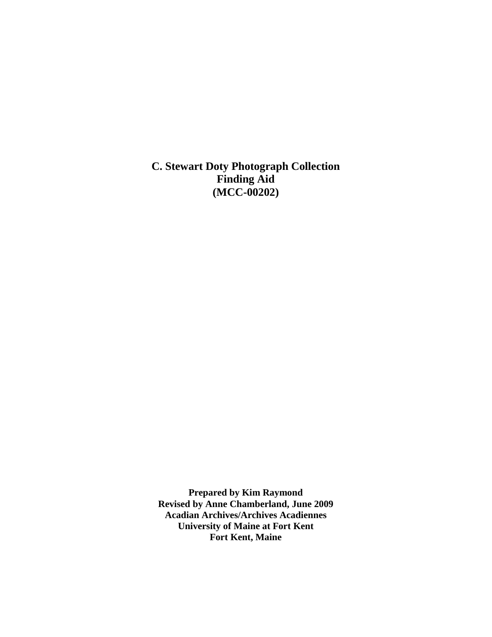**C. Stewart Doty Photograph Collection Finding Aid (MCC-00202)**

**Prepared by Kim Raymond Revised by Anne Chamberland, June 2009 Acadian Archives/Archives Acadiennes University of Maine at Fort Kent Fort Kent, Maine**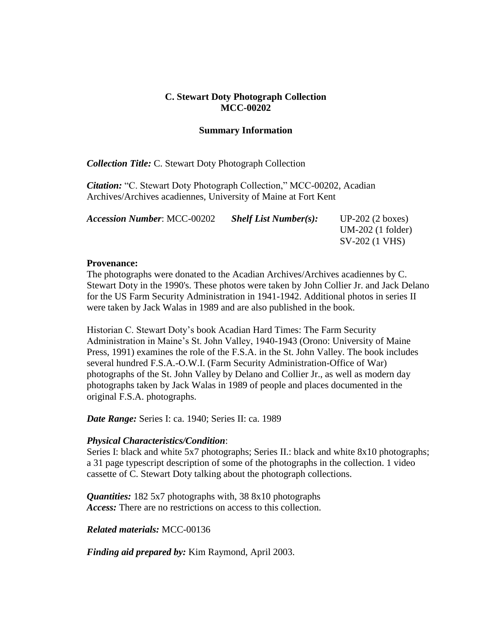### **C. Stewart Doty Photograph Collection MCC-00202**

### **Summary Information**

*Collection Title:* C. Stewart Doty Photograph Collection

*Citation:* "C. Stewart Doty Photograph Collection," MCC-00202, Acadian Archives/Archives acadiennes, University of Maine at Fort Kent

| <b>Accession Number: MCC-00202</b> | <b>Shelf List Number(s):</b> | $UP-202$ (2 boxes)  |
|------------------------------------|------------------------------|---------------------|
|                                    |                              | $UM-202$ (1 folder) |
|                                    |                              | SV-202 (1 VHS)      |

#### **Provenance:**

The photographs were donated to the Acadian Archives/Archives acadiennes by C. Stewart Doty in the 1990's. These photos were taken by John Collier Jr. and Jack Delano for the US Farm Security Administration in 1941-1942. Additional photos in series II were taken by Jack Walas in 1989 and are also published in the book.

Historian C. Stewart Doty's book Acadian Hard Times: The Farm Security Administration in Maine's St. John Valley, 1940-1943 (Orono: University of Maine Press, 1991) examines the role of the F.S.A. in the St. John Valley. The book includes several hundred F.S.A.-O.W.I. (Farm Security Administration-Office of War) photographs of the St. John Valley by Delano and Collier Jr., as well as modern day photographs taken by Jack Walas in 1989 of people and places documented in the original F.S.A. photographs.

*Date Range:* Series I: ca. 1940; Series II: ca. 1989

#### *Physical Characteristics/Condition*:

Series I: black and white 5x7 photographs; Series II.: black and white 8x10 photographs; a 31 page typescript description of some of the photographs in the collection. 1 video cassette of C. Stewart Doty talking about the photograph collections.

*Quantities:* 182 5x7 photographs with, 38 8x10 photographs *Access:* There are no restrictions on access to this collection.

*Related materials:* MCC-00136

*Finding aid prepared by:* Kim Raymond, April 2003.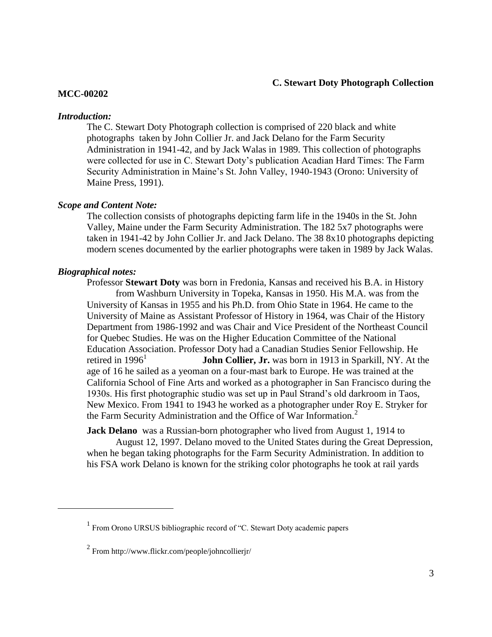#### **C. Stewart Doty Photograph Collection**

#### **MCC-00202**

#### *Introduction:*

The C. Stewart Doty Photograph collection is comprised of 220 black and white photographs taken by John Collier Jr. and Jack Delano for the Farm Security Administration in 1941-42, and by Jack Walas in 1989. This collection of photographs were collected for use in C. Stewart Doty's publication Acadian Hard Times: The Farm Security Administration in Maine's St. John Valley, 1940-1943 (Orono: University of Maine Press, 1991).

### *Scope and Content Note:*

The collection consists of photographs depicting farm life in the 1940s in the St. John Valley, Maine under the Farm Security Administration. The 182 5x7 photographs were taken in 1941-42 by John Collier Jr. and Jack Delano. The 38 8x10 photographs depicting modern scenes documented by the earlier photographs were taken in 1989 by Jack Walas.

### *Biographical notes:*

 $\overline{a}$ 

Professor **Stewart Doty** was born in Fredonia, Kansas and received his B.A. in History from Washburn University in Topeka, Kansas in 1950. His M.A. was from the University of Kansas in 1955 and his Ph.D. from Ohio State in 1964. He came to the University of Maine as Assistant Professor of History in 1964, was Chair of the History Department from 1986-1992 and was Chair and Vice President of the Northeast Council for Quebec Studies. He was on the Higher Education Committee of the National Education Association. Professor Doty had a Canadian Studies Senior Fellowship. He retired in  $1996<sup>1</sup>$ **John Collier, Jr.** was born in 1913 in Sparkill, NY. At the age of 16 he sailed as a yeoman on a four-mast bark to Europe. He was trained at the California School of Fine Arts and worked as a photographer in San Francisco during the 1930s. His first photographic studio was set up in Paul Strand's old darkroom in Taos, New Mexico. From 1941 to 1943 he worked as a photographer under Roy E. Stryker for the Farm Security Administration and the Office of War Information. $2$ 

**Jack Delano** was a Russian-born photographer who lived from August 1, 1914 to

August 12, 1997. Delano moved to the United States during the Great Depression, when he began taking photographs for the Farm Security Administration. In addition to his FSA work Delano is known for the striking color photographs he took at rail yards

<sup>&</sup>lt;sup>1</sup> From Orono URSUS bibliographic record of "C. Stewart Doty academic papers

 $2$  From http://www.flickr.com/people/johncollierjr/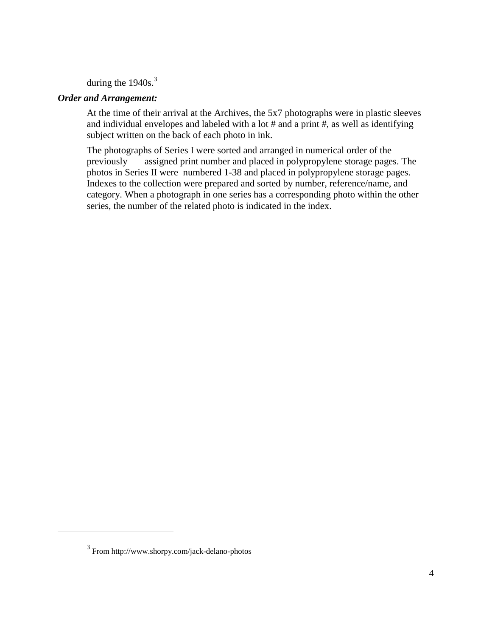during the  $1940s.<sup>3</sup>$ 

### *Order and Arrangement:*

At the time of their arrival at the Archives, the 5x7 photographs were in plastic sleeves and individual envelopes and labeled with a lot # and a print #, as well as identifying subject written on the back of each photo in ink.

The photographs of Series I were sorted and arranged in numerical order of the previously assigned print number and placed in polypropylene storage pages. The photos in Series II were numbered 1-38 and placed in polypropylene storage pages. Indexes to the collection were prepared and sorted by number, reference/name, and category. When a photograph in one series has a corresponding photo within the other series, the number of the related photo is indicated in the index.

 $\overline{a}$ 

<sup>3</sup> From http://www.shorpy.com/jack-delano-photos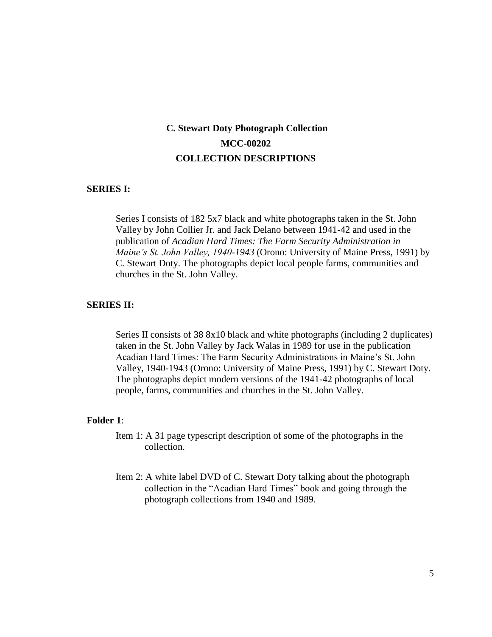# **C. Stewart Doty Photograph Collection MCC-00202 COLLECTION DESCRIPTIONS**

#### **SERIES I:**

Series I consists of 182 5x7 black and white photographs taken in the St. John Valley by John Collier Jr. and Jack Delano between 1941-42 and used in the publication of *Acadian Hard Times: The Farm Security Administration in Maine's St. John Valley, 1940-1943* (Orono: University of Maine Press, 1991) by C. Stewart Doty. The photographs depict local people farms, communities and churches in the St. John Valley.

#### **SERIES II:**

Series II consists of 38 8x10 black and white photographs (including 2 duplicates) taken in the St. John Valley by Jack Walas in 1989 for use in the publication Acadian Hard Times: The Farm Security Administrations in Maine's St. John Valley, 1940-1943 (Orono: University of Maine Press, 1991) by C. Stewart Doty. The photographs depict modern versions of the 1941-42 photographs of local people, farms, communities and churches in the St. John Valley.

#### **Folder 1**:

- Item 1: A 31 page typescript description of some of the photographs in the collection.
- Item 2: A white label DVD of C. Stewart Doty talking about the photograph collection in the "Acadian Hard Times" book and going through the photograph collections from 1940 and 1989.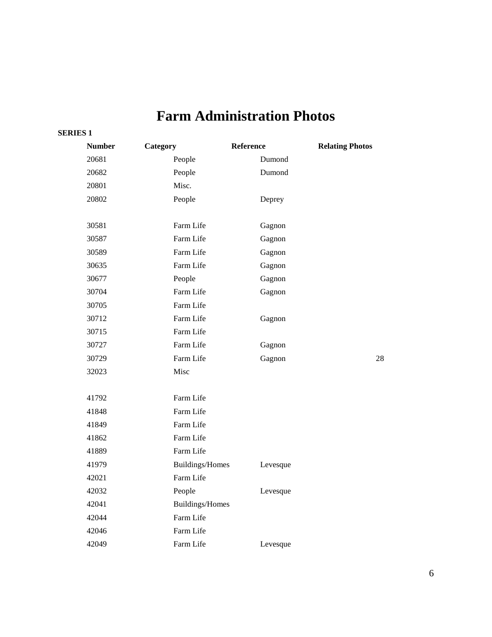# **Farm Administration Photos**

#### **SERIES 1**

| <b>Number</b> | Category               | Reference | <b>Relating Photos</b> |
|---------------|------------------------|-----------|------------------------|
| 20681         | People                 | Dumond    |                        |
| 20682         | People                 | Dumond    |                        |
| 20801         | Misc.                  |           |                        |
| 20802         | People                 | Deprey    |                        |
|               |                        |           |                        |
| 30581         | Farm Life              | Gagnon    |                        |
| 30587         | Farm Life              | Gagnon    |                        |
| 30589         | Farm Life              | Gagnon    |                        |
| 30635         | Farm Life              | Gagnon    |                        |
| 30677         | People                 | Gagnon    |                        |
| 30704         | Farm Life              | Gagnon    |                        |
| 30705         | Farm Life              |           |                        |
| 30712         | Farm Life              | Gagnon    |                        |
| 30715         | Farm Life              |           |                        |
| 30727         | Farm Life              | Gagnon    |                        |
| 30729         | Farm Life              | Gagnon    | 28                     |
| 32023         | Misc                   |           |                        |
|               |                        |           |                        |
| 41792         | Farm Life              |           |                        |
| 41848         | Farm Life              |           |                        |
| 41849         | Farm Life              |           |                        |
| 41862         | Farm Life              |           |                        |
| 41889         | Farm Life              |           |                        |
| 41979         | <b>Buildings/Homes</b> | Levesque  |                        |
| 42021         | Farm Life              |           |                        |
| 42032         | People                 | Levesque  |                        |
| 42041         | Buildings/Homes        |           |                        |
| 42044         | Farm Life              |           |                        |
| 42046         | Farm Life              |           |                        |
| 42049         | Farm Life              | Levesque  |                        |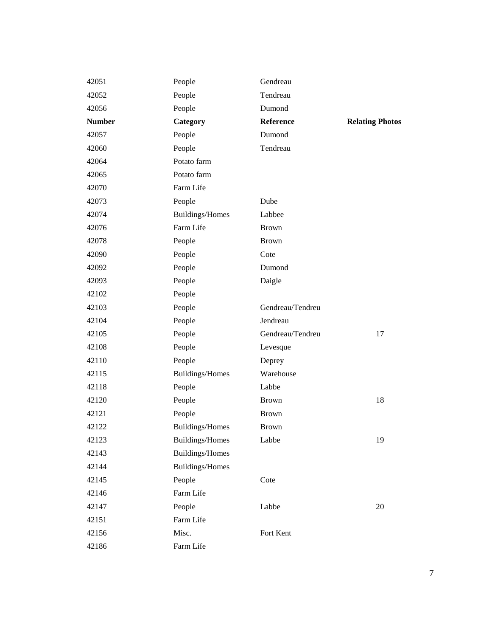| 42051         | People                 | Gendreau         |                        |
|---------------|------------------------|------------------|------------------------|
| 42052         | People                 | Tendreau         |                        |
| 42056         | People                 | Dumond           |                        |
| <b>Number</b> | Category               | Reference        | <b>Relating Photos</b> |
| 42057         | People                 | Dumond           |                        |
| 42060         | People                 | Tendreau         |                        |
| 42064         | Potato farm            |                  |                        |
| 42065         | Potato farm            |                  |                        |
| 42070         | Farm Life              |                  |                        |
| 42073         | People                 | Dube             |                        |
| 42074         | Buildings/Homes        | Labbee           |                        |
| 42076         | Farm Life              | <b>Brown</b>     |                        |
| 42078         | People                 | <b>Brown</b>     |                        |
| 42090         | People                 | Cote             |                        |
| 42092         | People                 | Dumond           |                        |
| 42093         | People                 | Daigle           |                        |
| 42102         | People                 |                  |                        |
| 42103         | People                 | Gendreau/Tendreu |                        |
| 42104         | People                 | Jendreau         |                        |
| 42105         | People                 | Gendreau/Tendreu | 17                     |
| 42108         | People                 | Levesque         |                        |
| 42110         | People                 | Deprey           |                        |
| 42115         | Buildings/Homes        | Warehouse        |                        |
| 42118         | People                 | Labbe            |                        |
| 42120         | People                 | <b>Brown</b>     | 18                     |
| 42121         | People                 | <b>Brown</b>     |                        |
| 42122         | Buildings/Homes        | <b>Brown</b>     |                        |
| 42123         | <b>Buildings/Homes</b> | Labbe            | 19                     |
| 42143         | Buildings/Homes        |                  |                        |
| 42144         | Buildings/Homes        |                  |                        |
| 42145         | People                 | Cote             |                        |
| 42146         | Farm Life              |                  |                        |
| 42147         | People                 | Labbe            | 20                     |
| 42151         | Farm Life              |                  |                        |
| 42156         | Misc.                  | Fort Kent        |                        |
| 42186         | Farm Life              |                  |                        |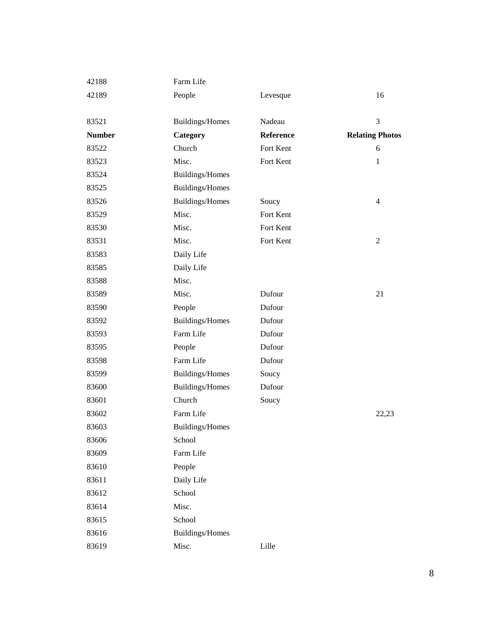| 42188         | Farm Life       |           |                        |
|---------------|-----------------|-----------|------------------------|
| 42189         | People          | Levesque  | 16                     |
|               |                 |           |                        |
| 83521         | Buildings/Homes | Nadeau    | 3                      |
| <b>Number</b> | Category        | Reference | <b>Relating Photos</b> |
| 83522         | Church          | Fort Kent | 6                      |
| 83523         | Misc.           | Fort Kent | $\mathbf{1}$           |
| 83524         | Buildings/Homes |           |                        |
| 83525         | Buildings/Homes |           |                        |
| 83526         | Buildings/Homes | Soucy     | $\overline{4}$         |
| 83529         | Misc.           | Fort Kent |                        |
| 83530         | Misc.           | Fort Kent |                        |
| 83531         | Misc.           | Fort Kent | $\overline{2}$         |
| 83583         | Daily Life      |           |                        |
| 83585         | Daily Life      |           |                        |
| 83588         | Misc.           |           |                        |
| 83589         | Misc.           | Dufour    | 21                     |
| 83590         | People          | Dufour    |                        |
| 83592         | Buildings/Homes | Dufour    |                        |
| 83593         | Farm Life       | Dufour    |                        |
| 83595         | People          | Dufour    |                        |
| 83598         | Farm Life       | Dufour    |                        |
| 83599         | Buildings/Homes | Soucy     |                        |
| 83600         | Buildings/Homes | Dufour    |                        |
| 83601         | Church          | Soucy     |                        |
| 83602         | Farm Life       |           | 22,23                  |
| 83603         | Buildings/Homes |           |                        |
| 83606         | School          |           |                        |
| 83609         | Farm Life       |           |                        |
| 83610         | People          |           |                        |
| 83611         | Daily Life      |           |                        |
| 83612         | School          |           |                        |
| 83614         | Misc.           |           |                        |
| 83615         | School          |           |                        |
| 83616         | Buildings/Homes |           |                        |
| 83619         | Misc.           | Lille     |                        |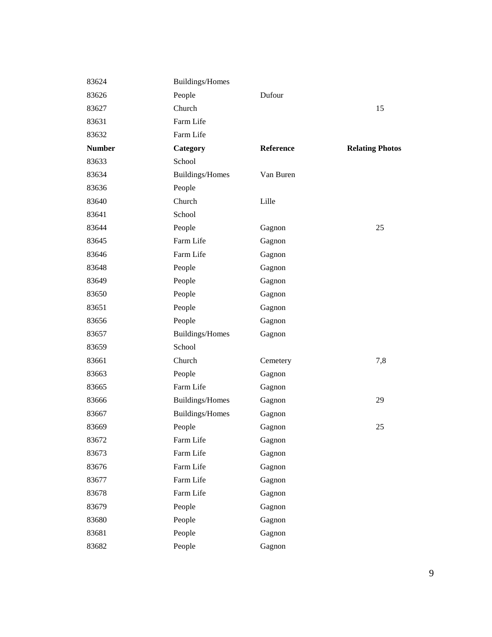| 83624         | Buildings/Homes |           |                        |
|---------------|-----------------|-----------|------------------------|
| 83626         | People          | Dufour    |                        |
| 83627         | Church          |           | 15                     |
| 83631         | Farm Life       |           |                        |
| 83632         | Farm Life       |           |                        |
| <b>Number</b> | Category        | Reference | <b>Relating Photos</b> |
| 83633         | School          |           |                        |
| 83634         | Buildings/Homes | Van Buren |                        |
| 83636         | People          |           |                        |
| 83640         | Church          | Lille     |                        |
| 83641         | School          |           |                        |
| 83644         | People          | Gagnon    | 25                     |
| 83645         | Farm Life       | Gagnon    |                        |
| 83646         | Farm Life       | Gagnon    |                        |
| 83648         | People          | Gagnon    |                        |
| 83649         | People          | Gagnon    |                        |
| 83650         | People          | Gagnon    |                        |
| 83651         | People          | Gagnon    |                        |
| 83656         | People          | Gagnon    |                        |
| 83657         | Buildings/Homes | Gagnon    |                        |
| 83659         | School          |           |                        |
| 83661         | Church          | Cemetery  | 7,8                    |
| 83663         | People          | Gagnon    |                        |
| 83665         | Farm Life       | Gagnon    |                        |
| 83666         | Buildings/Homes | Gagnon    | 29                     |
| 83667         | Buildings/Homes | Gagnon    |                        |
| 83669         | People          | Gagnon    | 25                     |
| 83672         | Farm Life       | Gagnon    |                        |
| 83673         | Farm Life       | Gagnon    |                        |
| 83676         | Farm Life       | Gagnon    |                        |
| 83677         | Farm Life       | Gagnon    |                        |
| 83678         | Farm Life       | Gagnon    |                        |
| 83679         | People          | Gagnon    |                        |
| 83680         | People          | Gagnon    |                        |
| 83681         | People          | Gagnon    |                        |
| 83682         | People          | Gagnon    |                        |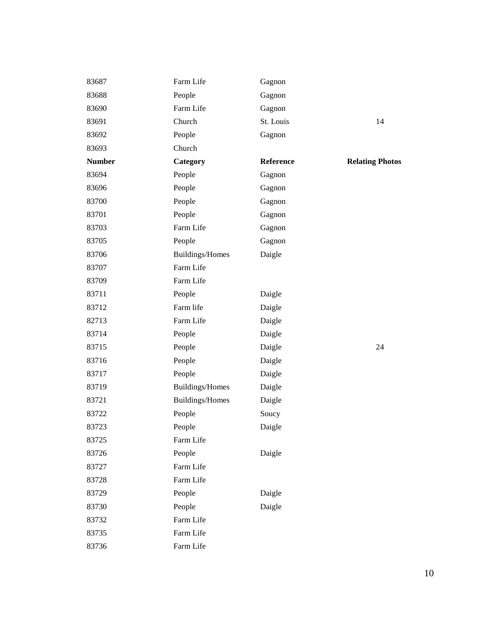| 83687         | Farm Life       | Gagnon    |                        |
|---------------|-----------------|-----------|------------------------|
| 83688         | People          | Gagnon    |                        |
| 83690         | Farm Life       | Gagnon    |                        |
| 83691         | Church          | St. Louis | 14                     |
| 83692         | People          | Gagnon    |                        |
| 83693         | Church          |           |                        |
| <b>Number</b> | Category        | Reference | <b>Relating Photos</b> |
| 83694         | People          | Gagnon    |                        |
| 83696         | People          | Gagnon    |                        |
| 83700         | People          | Gagnon    |                        |
| 83701         | People          | Gagnon    |                        |
| 83703         | Farm Life       | Gagnon    |                        |
| 83705         | People          | Gagnon    |                        |
| 83706         | Buildings/Homes | Daigle    |                        |
| 83707         | Farm Life       |           |                        |
| 83709         | Farm Life       |           |                        |
| 83711         | People          | Daigle    |                        |
| 83712         | Farm life       | Daigle    |                        |
| 82713         | Farm Life       | Daigle    |                        |
| 83714         | People          | Daigle    |                        |
| 83715         | People          | Daigle    | 24                     |
| 83716         | People          | Daigle    |                        |
| 83717         | People          | Daigle    |                        |
| 83719         | Buildings/Homes | Daigle    |                        |
| 83721         | Buildings/Homes | Daigle    |                        |
| 83722         | People          | Soucy     |                        |
| 83723         | People          | Daigle    |                        |
| 83725         | Farm Life       |           |                        |
| 83726         | People          | Daigle    |                        |
| 83727         | Farm Life       |           |                        |
| 83728         | Farm Life       |           |                        |
| 83729         | People          | Daigle    |                        |
| 83730         | People          | Daigle    |                        |
| 83732         | Farm Life       |           |                        |
| 83735         | Farm Life       |           |                        |
| 83736         | Farm Life       |           |                        |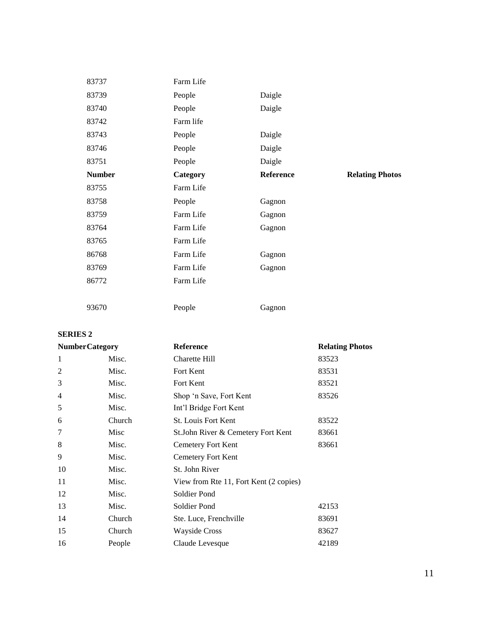| 83737         | Farm Life |           |                        |
|---------------|-----------|-----------|------------------------|
| 83739         | People    | Daigle    |                        |
| 83740         | People    | Daigle    |                        |
| 83742         | Farm life |           |                        |
| 83743         | People    | Daigle    |                        |
| 83746         | People    | Daigle    |                        |
| 83751         | People    | Daigle    |                        |
| <b>Number</b> | Category  | Reference | <b>Relating Photos</b> |
| 83755         | Farm Life |           |                        |
| 83758         | People    | Gagnon    |                        |
| 83759         | Farm Life | Gagnon    |                        |
| 83764         | Farm Life | Gagnon    |                        |
| 83765         | Farm Life |           |                        |
| 86768         | Farm Life | Gagnon    |                        |
| 83769         | Farm Life | Gagnon    |                        |
| 86772         | Farm Life |           |                        |
|               |           |           |                        |
| 93670         | People    | Gagnon    |                        |

### **SERIES 2**

| <b>NumberCategory</b> |        | <b>Reference</b>                       | <b>Relating Photos</b> |
|-----------------------|--------|----------------------------------------|------------------------|
| 1                     | Misc.  | Charette Hill                          | 83523                  |
| 2                     | Misc.  | Fort Kent                              | 83531                  |
| 3                     | Misc.  | Fort Kent                              | 83521                  |
| 4                     | Misc.  | Shop 'n Save, Fort Kent                | 83526                  |
| 5                     | Misc.  | Int'l Bridge Fort Kent                 |                        |
| 6                     | Church | <b>St. Louis Fort Kent</b>             | 83522                  |
| 7                     | Misc   | St. John River & Cemetery Fort Kent    | 83661                  |
| 8                     | Misc.  | Cemetery Fort Kent                     | 83661                  |
| 9                     | Misc.  | Cemetery Fort Kent                     |                        |
| 10                    | Misc.  | St. John River                         |                        |
| 11                    | Misc.  | View from Rte 11, Fort Kent (2 copies) |                        |
| 12                    | Misc.  | Soldier Pond                           |                        |
| 13                    | Misc.  | Soldier Pond                           | 42153                  |
| 14                    | Church | Ste. Luce, Frenchville                 | 83691                  |
| 15                    | Church | <b>Wayside Cross</b>                   | 83627                  |
| 16                    | People | Claude Levesque                        | 42189                  |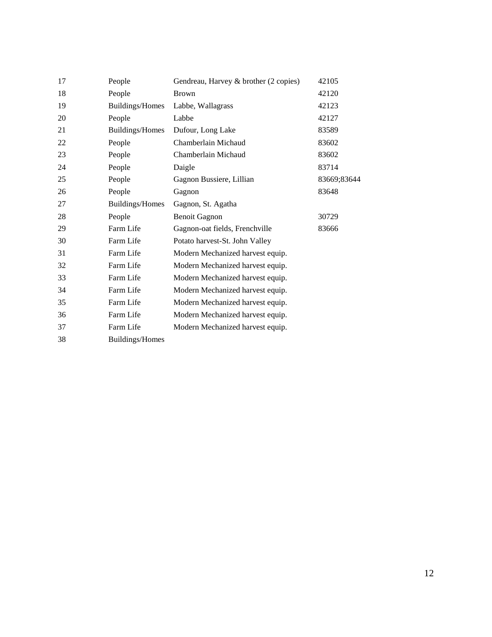| 17 | People          | Gendreau, Harvey & brother (2 copies) | 42105       |
|----|-----------------|---------------------------------------|-------------|
| 18 | People          | <b>Brown</b>                          | 42120       |
| 19 | Buildings/Homes | Labbe, Wallagrass                     | 42123       |
| 20 | People          | Labbe                                 | 42127       |
| 21 | Buildings/Homes | Dufour, Long Lake                     | 83589       |
| 22 | People          | Chamberlain Michaud                   | 83602       |
| 23 | People          | Chamberlain Michaud                   | 83602       |
| 24 | People          | Daigle                                | 83714       |
| 25 | People          | Gagnon Bussiere, Lillian              | 83669;83644 |
| 26 | People          | Gagnon                                | 83648       |
| 27 | Buildings/Homes | Gagnon, St. Agatha                    |             |
| 28 | People          | <b>Benoit Gagnon</b>                  | 30729       |
| 29 | Farm Life       | Gagnon-oat fields, Frenchville        | 83666       |
| 30 | Farm Life       | Potato harvest-St. John Valley        |             |
| 31 | Farm Life       | Modern Mechanized harvest equip.      |             |
| 32 | Farm Life       | Modern Mechanized harvest equip.      |             |
| 33 | Farm Life       | Modern Mechanized harvest equip.      |             |
| 34 | Farm Life       | Modern Mechanized harvest equip.      |             |
| 35 | Farm Life       | Modern Mechanized harvest equip.      |             |
| 36 | Farm Life       | Modern Mechanized harvest equip.      |             |
| 37 | Farm Life       | Modern Mechanized harvest equip.      |             |
| 38 | Buildings/Homes |                                       |             |
|    |                 |                                       |             |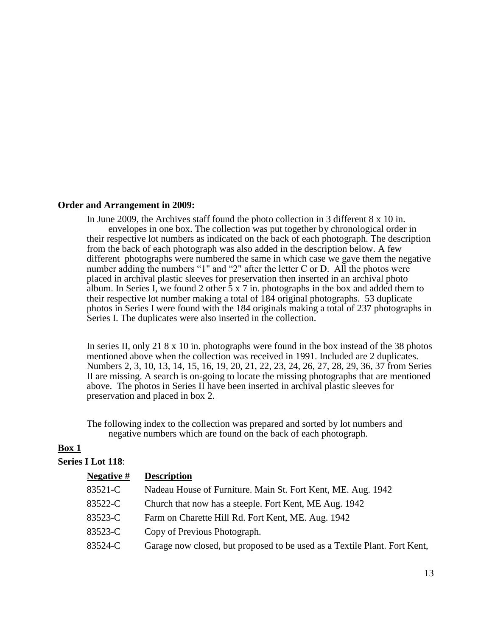#### **Order and Arrangement in 2009:**

In June 2009, the Archives staff found the photo collection in 3 different 8 x 10 in. envelopes in one box. The collection was put together by chronological order in their respective lot numbers as indicated on the back of each photograph. The description from the back of each photograph was also added in the description below. A few different photographs were numbered the same in which case we gave them the negative number adding the numbers "1" and "2" after the letter C or D. All the photos were placed in archival plastic sleeves for preservation then inserted in an archival photo album. In Series I, we found 2 other  $\bar{5} \times 7$  in. photographs in the box and added them to their respective lot number making a total of 184 original photographs. 53 duplicate photos in Series I were found with the 184 originals making a total of 237 photographs in Series I. The duplicates were also inserted in the collection.

In series II, only 21 8 x 10 in. photographs were found in the box instead of the 38 photos mentioned above when the collection was received in 1991. Included are 2 duplicates. Numbers 2, 3, 10, 13, 14, 15, 16, 19, 20, 21, 22, 23, 24, 26, 27, 28, 29, 36, 37 from Series II are missing. A search is on-going to locate the missing photographs that are mentioned above. The photos in Series II have been inserted in archival plastic sleeves for preservation and placed in box 2.

The following index to the collection was prepared and sorted by lot numbers and negative numbers which are found on the back of each photograph.

### **Box 1**

#### **Series I Lot 118**:

| Negative # | <b>Description</b>                                                        |
|------------|---------------------------------------------------------------------------|
| 83521-C    | Nadeau House of Furniture. Main St. Fort Kent, ME. Aug. 1942              |
| 83522-C    | Church that now has a steeple. Fort Kent, ME Aug. 1942                    |
| 83523-C    | Farm on Charette Hill Rd. Fort Kent, ME. Aug. 1942                        |
| 83523-C    | Copy of Previous Photograph.                                              |
| 83524-C    | Garage now closed, but proposed to be used as a Textile Plant. Fort Kent, |
|            |                                                                           |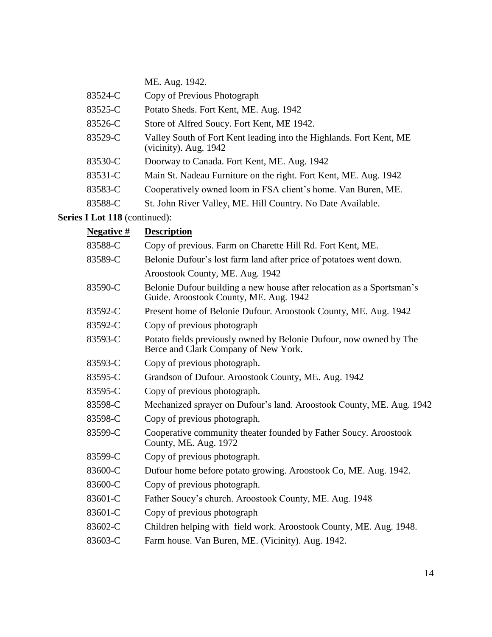|         | ME. Aug. 1942.                                                                               |
|---------|----------------------------------------------------------------------------------------------|
| 83524-C | Copy of Previous Photograph                                                                  |
| 83525-C | Potato Sheds. Fort Kent, ME. Aug. 1942                                                       |
| 83526-C | Store of Alfred Soucy. Fort Kent, ME 1942.                                                   |
| 83529-C | Valley South of Fort Kent leading into the Highlands. Fort Kent, ME<br>(vicinity). Aug. 1942 |
| 83530-C | Doorway to Canada. Fort Kent, ME. Aug. 1942                                                  |
| 83531-C | Main St. Nadeau Furniture on the right. Fort Kent, ME. Aug. 1942                             |
| 83583-C | Cooperatively owned loom in FSA client's home. Van Buren, ME.                                |
| 83588-C | St. John River Valley, ME. Hill Country. No Date Available.                                  |

| Negative # | <b>Description</b>                                                                                              |
|------------|-----------------------------------------------------------------------------------------------------------------|
| 83588-C    | Copy of previous. Farm on Charette Hill Rd. Fort Kent, ME.                                                      |
| 83589-C    | Belonie Dufour's lost farm land after price of potatoes went down.                                              |
|            | Aroostook County, ME. Aug. 1942                                                                                 |
| 83590-C    | Belonie Dufour building a new house after relocation as a Sportsman's<br>Guide. Aroostook County, ME. Aug. 1942 |
| 83592-C    | Present home of Belonie Dufour. Aroostook County, ME. Aug. 1942                                                 |
| 83592-C    | Copy of previous photograph                                                                                     |
| 83593-C    | Potato fields previously owned by Belonie Dufour, now owned by The<br>Berce and Clark Company of New York.      |
| 83593-C    | Copy of previous photograph.                                                                                    |
| 83595-C    | Grandson of Dufour. Aroostook County, ME. Aug. 1942                                                             |
| 83595-C    | Copy of previous photograph.                                                                                    |
| 83598-C    | Mechanized sprayer on Dufour's land. Aroostook County, ME. Aug. 1942                                            |
| 83598-C    | Copy of previous photograph.                                                                                    |
| 83599-C    | Cooperative community theater founded by Father Soucy. Aroostook<br>County, ME. Aug. 1972                       |
| 83599-C    | Copy of previous photograph.                                                                                    |
| 83600-C    | Dufour home before potato growing. Aroostook Co, ME. Aug. 1942.                                                 |
| 83600-C    | Copy of previous photograph.                                                                                    |
| 83601-C    | Father Soucy's church. Aroostook County, ME. Aug. 1948                                                          |
| 83601-C    | Copy of previous photograph                                                                                     |
| 83602-C    | Children helping with field work. Aroostook County, ME. Aug. 1948.                                              |
| 83603-C    | Farm house. Van Buren, ME. (Vicinity). Aug. 1942.                                                               |
|            |                                                                                                                 |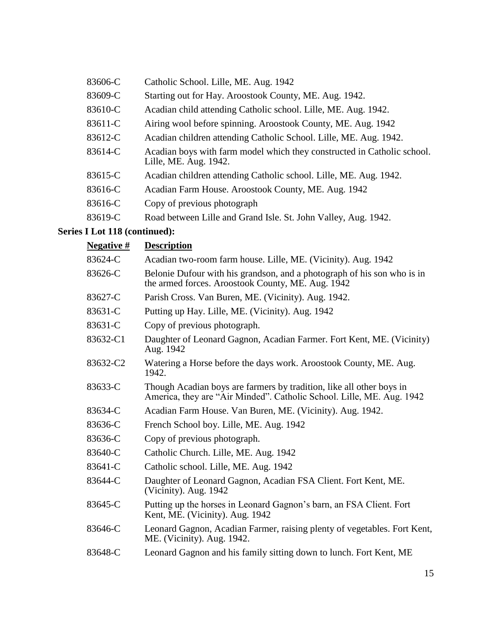| 83606-C | Catholic School. Lille, ME. Aug. 1942                                                            |
|---------|--------------------------------------------------------------------------------------------------|
| 83609-C | Starting out for Hay. Aroostook County, ME. Aug. 1942.                                           |
| 83610-C | Acadian child attending Catholic school. Lille, ME. Aug. 1942.                                   |
| 83611-C | Airing wool before spinning. Aroostook County, ME. Aug. 1942                                     |
| 83612-C | Acadian children attending Catholic School. Lille, ME. Aug. 1942.                                |
| 83614-C | Acadian boys with farm model which they constructed in Catholic school.<br>Lille, ME. Aug. 1942. |
| 83615-C | Acadian children attending Catholic school. Lille, ME. Aug. 1942.                                |
| 83616-C | Acadian Farm House. Aroostook County, ME. Aug. 1942                                              |
| 83616-C | Copy of previous photograph                                                                      |
| 83619-C | Road between Lille and Grand Isle. St. John Valley, Aug. 1942.                                   |

| <b>Negative</b> # | <b>Description</b>                                                                                                                            |
|-------------------|-----------------------------------------------------------------------------------------------------------------------------------------------|
| 83624-C           | Acadian two-room farm house. Lille, ME. (Vicinity). Aug. 1942                                                                                 |
| 83626-C           | Belonie Dufour with his grandson, and a photograph of his son who is in<br>the armed forces. Aroostook County, ME. Aug. 1942                  |
| 83627-C           | Parish Cross. Van Buren, ME. (Vicinity). Aug. 1942.                                                                                           |
| 83631-C           | Putting up Hay. Lille, ME. (Vicinity). Aug. 1942                                                                                              |
| 83631-C           | Copy of previous photograph.                                                                                                                  |
| 83632-C1          | Daughter of Leonard Gagnon, Acadian Farmer. Fort Kent, ME. (Vicinity)<br>Aug. 1942                                                            |
| 83632-C2          | Watering a Horse before the days work. Aroostook County, ME. Aug.<br>1942.                                                                    |
| 83633-C           | Though Acadian boys are farmers by tradition, like all other boys in<br>America, they are "Air Minded". Catholic School. Lille, ME. Aug. 1942 |
| 83634-C           | Acadian Farm House. Van Buren, ME. (Vicinity). Aug. 1942.                                                                                     |
| 83636-C           | French School boy. Lille, ME. Aug. 1942                                                                                                       |
| 83636-C           | Copy of previous photograph.                                                                                                                  |
| 83640-C           | Catholic Church. Lille, ME. Aug. 1942                                                                                                         |
| 83641-C           | Catholic school. Lille, ME. Aug. 1942                                                                                                         |
| 83644-C           | Daughter of Leonard Gagnon, Acadian FSA Client. Fort Kent, ME.<br>(Vicinity). Aug. 1942                                                       |
| 83645-C           | Putting up the horses in Leonard Gagnon's barn, an FSA Client. Fort<br>Kent, ME. (Vicinity). Aug. 1942                                        |
| 83646-C           | Leonard Gagnon, Acadian Farmer, raising plenty of vegetables. Fort Kent,<br>ME. (Vicinity). Aug. 1942.                                        |
| 83648-C           | Leonard Gagnon and his family sitting down to lunch. Fort Kent, ME                                                                            |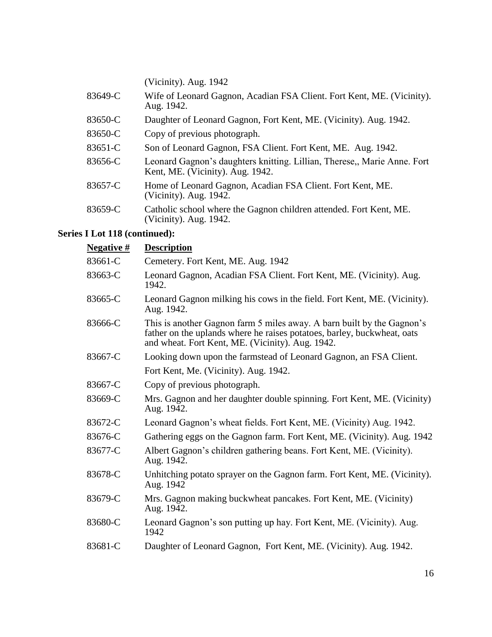|         | (Vicinity). Aug. 1942                                                                                        |
|---------|--------------------------------------------------------------------------------------------------------------|
| 83649-C | Wife of Leonard Gagnon, Acadian FSA Client. Fort Kent, ME. (Vicinity).<br>Aug. 1942.                         |
| 83650-C | Daughter of Leonard Gagnon, Fort Kent, ME. (Vicinity). Aug. 1942.                                            |
| 83650-C | Copy of previous photograph.                                                                                 |
| 83651-C | Son of Leonard Gagnon, FSA Client. Fort Kent, ME. Aug. 1942.                                                 |
| 83656-C | Leonard Gagnon's daughters knitting. Lillian, Therese,, Marie Anne. Fort<br>Kent, ME. (Vicinity). Aug. 1942. |
| 83657-C | Home of Leonard Gagnon, Acadian FSA Client. Fort Kent, ME.<br>(Vicinity). Aug. 1942.                         |
| 83659-C | Catholic school where the Gagnon children attended. Fort Kent, ME.<br>(Vicinity). Aug. 1942.                 |

| <b>Negative</b> # | <b>Description</b>                                                                                                                                                                                    |
|-------------------|-------------------------------------------------------------------------------------------------------------------------------------------------------------------------------------------------------|
| 83661-C           | Cemetery. Fort Kent, ME. Aug. 1942                                                                                                                                                                    |
| 83663-C           | Leonard Gagnon, Acadian FSA Client. Fort Kent, ME. (Vicinity). Aug.<br>1942.                                                                                                                          |
| 83665-C           | Leonard Gagnon milking his cows in the field. Fort Kent, ME. (Vicinity).<br>Aug. 1942.                                                                                                                |
| 83666-C           | This is another Gagnon farm 5 miles away. A barn built by the Gagnon's<br>father on the uplands where he raises potatoes, barley, buckwheat, oats<br>and wheat. Fort Kent, ME. (Vicinity). Aug. 1942. |
| 83667-C           | Looking down upon the farmstead of Leonard Gagnon, an FSA Client.                                                                                                                                     |
|                   | Fort Kent, Me. (Vicinity). Aug. 1942.                                                                                                                                                                 |
| 83667-C           | Copy of previous photograph.                                                                                                                                                                          |
| 83669-C           | Mrs. Gagnon and her daughter double spinning. Fort Kent, ME. (Vicinity)<br>Aug. 1942.                                                                                                                 |
| 83672-C           | Leonard Gagnon's wheat fields. Fort Kent, ME. (Vicinity) Aug. 1942.                                                                                                                                   |
| 83676-C           | Gathering eggs on the Gagnon farm. Fort Kent, ME. (Vicinity). Aug. 1942                                                                                                                               |
| 83677-C           | Albert Gagnon's children gathering beans. Fort Kent, ME. (Vicinity).<br>Aug. 1942.                                                                                                                    |
| 83678-C           | Unhitching potato sprayer on the Gagnon farm. Fort Kent, ME. (Vicinity).<br>Aug. 1942                                                                                                                 |
| 83679-C           | Mrs. Gagnon making buckwheat pancakes. Fort Kent, ME. (Vicinity)<br>Aug. 1942.                                                                                                                        |
| 83680-C           | Leonard Gagnon's son putting up hay. Fort Kent, ME. (Vicinity). Aug.<br>1942                                                                                                                          |
| 83681-C           | Daughter of Leonard Gagnon, Fort Kent, ME. (Vicinity). Aug. 1942.                                                                                                                                     |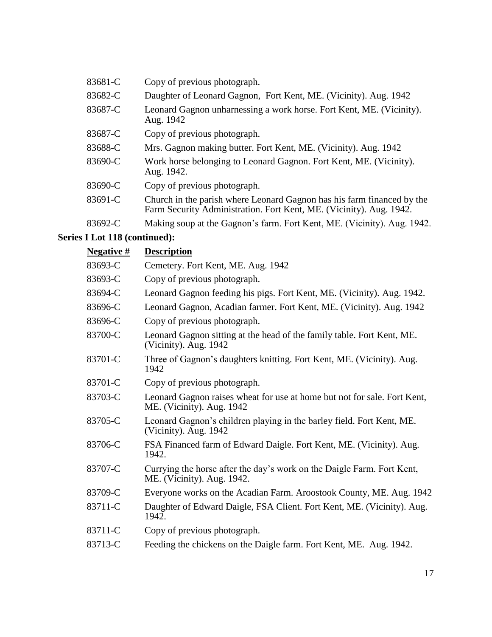| 83681-C | Copy of previous photograph.                                                                                                                  |
|---------|-----------------------------------------------------------------------------------------------------------------------------------------------|
| 83682-C | Daughter of Leonard Gagnon, Fort Kent, ME. (Vicinity). Aug. 1942                                                                              |
| 83687-C | Leonard Gagnon unharnessing a work horse. Fort Kent, ME. (Vicinity).<br>Aug. 1942                                                             |
| 83687-C | Copy of previous photograph.                                                                                                                  |
| 83688-C | Mrs. Gagnon making butter. Fort Kent, ME. (Vicinity). Aug. 1942                                                                               |
| 83690-C | Work horse belonging to Leonard Gagnon. Fort Kent, ME. (Vicinity).<br>Aug. 1942.                                                              |
| 83690-C | Copy of previous photograph.                                                                                                                  |
| 83691-C | Church in the parish where Leonard Gagnon has his farm financed by the<br>Farm Security Administration. Fort Kent, ME. (Vicinity). Aug. 1942. |
| 83692-C | Making soup at the Gagnon's farm. Fort Kent, ME. (Vicinity). Aug. 1942.                                                                       |

| <b>Negative</b> # | <b>Description</b>                                                                                    |
|-------------------|-------------------------------------------------------------------------------------------------------|
| 83693-C           | Cemetery. Fort Kent, ME. Aug. 1942                                                                    |
| 83693-C           | Copy of previous photograph.                                                                          |
| 83694-C           | Leonard Gagnon feeding his pigs. Fort Kent, ME. (Vicinity). Aug. 1942.                                |
| 83696-C           | Leonard Gagnon, Acadian farmer. Fort Kent, ME. (Vicinity). Aug. 1942                                  |
| 83696-C           | Copy of previous photograph.                                                                          |
| 83700-C           | Leonard Gagnon sitting at the head of the family table. Fort Kent, ME.<br>(Vicinity). Aug. 1942       |
| 83701-C           | Three of Gagnon's daughters knitting. Fort Kent, ME. (Vicinity). Aug.<br>1942                         |
| 83701-C           | Copy of previous photograph.                                                                          |
| 83703-C           | Leonard Gagnon raises wheat for use at home but not for sale. Fort Kent,<br>ME. (Vicinity). Aug. 1942 |
| 83705-C           | Leonard Gagnon's children playing in the barley field. Fort Kent, ME.<br>(Vicinity). Aug. 1942        |
| 83706-C           | FSA Financed farm of Edward Daigle. Fort Kent, ME. (Vicinity). Aug.<br>1942.                          |
| 83707-C           | Currying the horse after the day's work on the Daigle Farm. Fort Kent,<br>ME. (Vicinity). Aug. 1942.  |
| 83709-C           | Everyone works on the Acadian Farm. Aroostook County, ME. Aug. 1942                                   |
| 83711-C           | Daughter of Edward Daigle, FSA Client. Fort Kent, ME. (Vicinity). Aug.<br>1942.                       |
| 83711-C           | Copy of previous photograph.                                                                          |
| 83713-C           | Feeding the chickens on the Daigle farm. Fort Kent, ME. Aug. 1942.                                    |
|                   |                                                                                                       |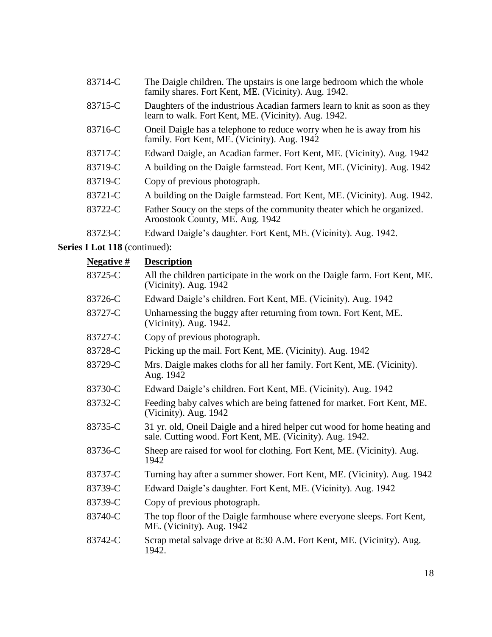- 83714-C The Daigle children. The upstairs is one large bedroom which the whole family shares. Fort Kent, ME. (Vicinity). Aug. 1942.
- 83715-C Daughters of the industrious Acadian farmers learn to knit as soon as they learn to walk. Fort Kent, ME. (Vicinity). Aug. 1942.
- 83716-C Oneil Daigle has a telephone to reduce worry when he is away from his family. Fort Kent, ME. (Vicinity). Aug. 1942
- 83717-C Edward Daigle, an Acadian farmer. Fort Kent, ME. (Vicinity). Aug. 1942
- 83719-C A building on the Daigle farmstead. Fort Kent, ME. (Vicinity). Aug. 1942
- 83719-C Copy of previous photograph.
- 83721-C A building on the Daigle farmstead. Fort Kent, ME. (Vicinity). Aug. 1942.
- 83722-C Father Soucy on the steps of the community theater which he organized. Aroostook County, ME. Aug. 1942
- 83723-C Edward Daigle's daughter. Fort Kent, ME. (Vicinity). Aug. 1942.

| <u>Negative #</u> | <b>Description</b>                                                                                                                     |
|-------------------|----------------------------------------------------------------------------------------------------------------------------------------|
| 83725-C           | All the children participate in the work on the Daigle farm. Fort Kent, ME.<br>(Vicinity). Aug. 1942                                   |
| 83726-C           | Edward Daigle's children. Fort Kent, ME. (Vicinity). Aug. 1942                                                                         |
| 83727-C           | Unharnessing the buggy after returning from town. Fort Kent, ME.<br>(Vicinity). Aug. 1942.                                             |
| 83727-C           | Copy of previous photograph.                                                                                                           |
| 83728-C           | Picking up the mail. Fort Kent, ME. (Vicinity). Aug. 1942                                                                              |
| 83729-C           | Mrs. Daigle makes cloths for all her family. Fort Kent, ME. (Vicinity).<br>Aug. 1942                                                   |
| 83730-C           | Edward Daigle's children. Fort Kent, ME. (Vicinity). Aug. 1942                                                                         |
| 83732-C           | Feeding baby calves which are being fattened for market. Fort Kent, ME.<br>(Vicinity). Aug. 1942                                       |
| 83735-C           | 31 yr. old, Oneil Daigle and a hired helper cut wood for home heating and<br>sale. Cutting wood. Fort Kent, ME. (Vicinity). Aug. 1942. |
| 83736-C           | Sheep are raised for wool for clothing. Fort Kent, ME. (Vicinity). Aug.<br>1942                                                        |
| 83737-C           | Turning hay after a summer shower. Fort Kent, ME. (Vicinity). Aug. 1942                                                                |
| 83739-C           | Edward Daigle's daughter. Fort Kent, ME. (Vicinity). Aug. 1942                                                                         |
| 83739-C           | Copy of previous photograph.                                                                                                           |
| 83740-C           | The top floor of the Daigle farmhouse where everyone sleeps. Fort Kent,<br>ME. (Vicinity). Aug. 1942                                   |
| 83742-C           | Scrap metal salvage drive at 8:30 A.M. Fort Kent, ME. (Vicinity). Aug.<br>1942.                                                        |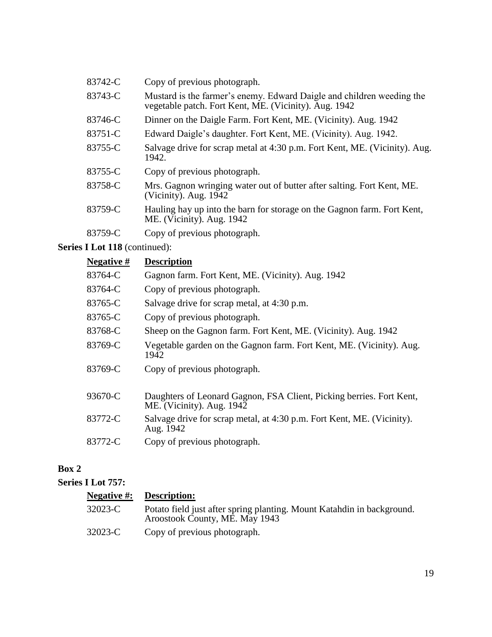| 83742-C | Copy of previous photograph.                                                                                                   |
|---------|--------------------------------------------------------------------------------------------------------------------------------|
| 83743-C | Mustard is the farmer's enemy. Edward Daigle and children weeding the<br>vegetable patch. Fort Kent, ME. (Vicinity). Aug. 1942 |
| 83746-C | Dinner on the Daigle Farm. Fort Kent, ME. (Vicinity). Aug. 1942                                                                |
| 83751-C | Edward Daigle's daughter. Fort Kent, ME. (Vicinity). Aug. 1942.                                                                |
| 83755-C | Salvage drive for scrap metal at 4:30 p.m. Fort Kent, ME. (Vicinity). Aug.<br>1942.                                            |
| 83755-C | Copy of previous photograph.                                                                                                   |
| 83758-C | Mrs. Gagnon wringing water out of butter after salting. Fort Kent, ME.<br>(Vicinity). Aug. 1942                                |
| 83759-C | Hauling hay up into the barn for storage on the Gagnon farm. Fort Kent,<br>ME. (Vicinity). Aug. 1942                           |
| 83759-C | Copy of previous photograph.                                                                                                   |

| Negative # | <b>Description</b>                                                                                |
|------------|---------------------------------------------------------------------------------------------------|
| 83764-C    | Gagnon farm. Fort Kent, ME. (Vicinity). Aug. 1942                                                 |
| 83764-C    | Copy of previous photograph.                                                                      |
| 83765-C    | Salvage drive for scrap metal, at 4:30 p.m.                                                       |
| 83765-C    | Copy of previous photograph.                                                                      |
| 83768-C    | Sheep on the Gagnon farm. Fort Kent, ME. (Vicinity). Aug. 1942                                    |
| 83769-C    | Vegetable garden on the Gagnon farm. Fort Kent, ME. (Vicinity). Aug.<br>1942                      |
| 83769-C    | Copy of previous photograph.                                                                      |
| 93670-C    | Daughters of Leonard Gagnon, FSA Client, Picking berries. Fort Kent,<br>ME. (Vicinity). Aug. 1942 |
| 83772-C    | Salvage drive for scrap metal, at 4:30 p.m. Fort Kent, ME. (Vicinity).<br>Aug. 1942               |
| 83772-C    | Copy of previous photograph.                                                                      |

# **Box 2**

### **Series I Lot 757:**

| <b>Negative #:</b> | <b>Description:</b>                                                                                      |
|--------------------|----------------------------------------------------------------------------------------------------------|
| 32023-C            | Potato field just after spring planting. Mount Katahdin in background.<br>Aroostook County, ME. May 1943 |
| 32023-C            | Copy of previous photograph.                                                                             |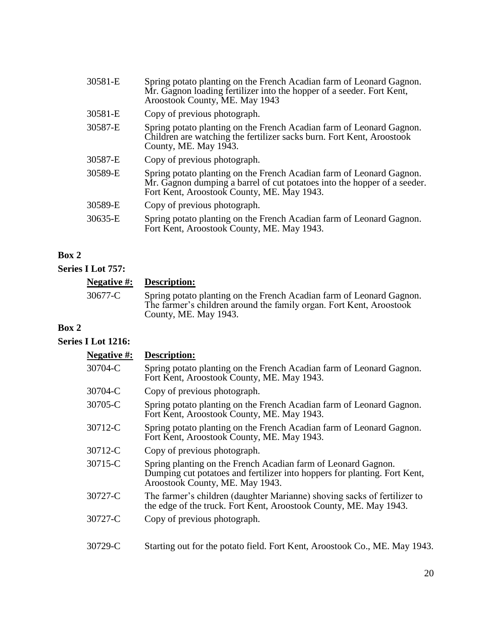| 30581-E | Spring potato planting on the French Acadian farm of Leonard Gagnon.<br>Mr. Gagnon loading fertilizer into the hopper of a seeder. Fort Kent,<br>Aroostook County, ME. May 1943                |
|---------|------------------------------------------------------------------------------------------------------------------------------------------------------------------------------------------------|
| 30581-E | Copy of previous photograph.                                                                                                                                                                   |
| 30587-E | Spring potato planting on the French Acadian farm of Leonard Gagnon.<br>Children are watching the fertilizer sacks burn. Fort Kent, Aroostook<br>County, ME. May 1943.                         |
| 30587-E | Copy of previous photograph.                                                                                                                                                                   |
| 30589-E | Spring potato planting on the French Acadian farm of Leonard Gagnon.<br>Mr. Gagnon dumping a barrel of cut potatoes into the hopper of a seeder.<br>Fort Kent, Aroostook County, ME. May 1943. |
| 30589-E | Copy of previous photograph.                                                                                                                                                                   |
| 30635-E | Spring potato planting on the French Acadian farm of Leonard Gagnon.<br>Fort Kent, Aroostook County, ME. May 1943.                                                                             |

**Series I Lot 757:**

|         | <b>Negative #:</b> Description:                                                                                                                                      |
|---------|----------------------------------------------------------------------------------------------------------------------------------------------------------------------|
| 30677-C | Spring potato planting on the French Acadian farm of Leonard Gagnon.<br>The farmer's children around the family organ. Fort Kent, Aroostook<br>County, ME. May 1943. |

### **Box 2**

### **Series I Lot 1216:**

| <b>Negative #:</b> | Description:                                                                                                                                                                  |  |  |
|--------------------|-------------------------------------------------------------------------------------------------------------------------------------------------------------------------------|--|--|
| 30704-C            | Spring potato planting on the French Acadian farm of Leonard Gagnon.<br>Fort Kent, Aroostook County, ME. May 1943.                                                            |  |  |
| 30704-C            | Copy of previous photograph.                                                                                                                                                  |  |  |
| 30705-C            | Spring potato planting on the French Acadian farm of Leonard Gagnon.<br>Fort Kent, Aroostook County, ME. May 1943.                                                            |  |  |
| 30712-C            | Spring potato planting on the French Acadian farm of Leonard Gagnon.<br>Fort Kent, Aroostook County, ME. May 1943.                                                            |  |  |
| 30712-C            | Copy of previous photograph.                                                                                                                                                  |  |  |
| 30715-C            | Spring planting on the French Acadian farm of Leonard Gagnon.<br>Dumping cut potatoes and fertilizer into hoppers for planting. Fort Kent,<br>Aroostook County, ME. May 1943. |  |  |
| 30727-C            | The farmer's children (daughter Marianne) shoving sacks of fertilizer to<br>the edge of the truck. Fort Kent, Aroostook County, ME. May 1943.                                 |  |  |
| 30727-C            | Copy of previous photograph.                                                                                                                                                  |  |  |
| 30729-C            | Starting out for the potato field. Fort Kent, Aroostook Co., ME. May 1943.                                                                                                    |  |  |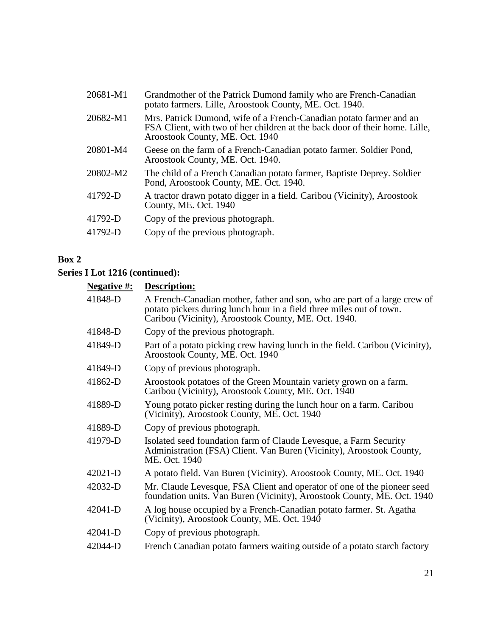| 20681-M1 | Grandmother of the Patrick Dumond family who are French-Canadian<br>potato farmers. Lille, Aroostook County, ME. Oct. 1940.                                                           |  |  |
|----------|---------------------------------------------------------------------------------------------------------------------------------------------------------------------------------------|--|--|
| 20682-M1 | Mrs. Patrick Dumond, wife of a French-Canadian potato farmer and an<br>FSA Client, with two of her children at the back door of their home. Lille,<br>Aroostook County, ME. Oct. 1940 |  |  |
| 20801-M4 | Geese on the farm of a French-Canadian potato farmer. Soldier Pond,<br>Aroostook County, ME. Oct. 1940.                                                                               |  |  |
| 20802-M2 | The child of a French Canadian potato farmer, Baptiste Deprey. Soldier<br>Pond, Aroostook County, ME. Oct. 1940.                                                                      |  |  |
| 41792-D  | A tractor drawn potato digger in a field. Caribou (Vicinity), Aroostook<br>County, ME. Oct. 1940                                                                                      |  |  |
| 41792-D  | Copy of the previous photograph.                                                                                                                                                      |  |  |
| 41792-D  | Copy of the previous photograph.                                                                                                                                                      |  |  |

| <b>Negative</b> #: | Description:                                                                                                                                                                                              |  |  |
|--------------------|-----------------------------------------------------------------------------------------------------------------------------------------------------------------------------------------------------------|--|--|
| 41848-D            | A French-Canadian mother, father and son, who are part of a large crew of<br>potato pickers during lunch hour in a field three miles out of town.<br>Caribou (Vicinity), Aroostook County, ME. Oct. 1940. |  |  |
| 41848-D            | Copy of the previous photograph.                                                                                                                                                                          |  |  |
| 41849-D            | Part of a potato picking crew having lunch in the field. Caribou (Vicinity),<br>Aroostook County, ME. Oct. 1940                                                                                           |  |  |
| 41849-D            | Copy of previous photograph.                                                                                                                                                                              |  |  |
| 41862-D            | Aroostook potatoes of the Green Mountain variety grown on a farm.<br>Caribou (Vicinity), Aroostook County, ME. Oct. 1940                                                                                  |  |  |
| 41889-D            | Young potato picker resting during the lunch hour on a farm. Caribou<br>(Vicinity), Aroostook County, ME. Oct. 1940                                                                                       |  |  |
| 41889-D            | Copy of previous photograph.                                                                                                                                                                              |  |  |
| 41979-D            | Isolated seed foundation farm of Claude Levesque, a Farm Security<br>Administration (FSA) Client. Van Buren (Vicinity), Aroostook County,<br>ME. Oct. 1940                                                |  |  |
| $42021-D$          | A potato field. Van Buren (Vicinity). Aroostook County, ME. Oct. 1940                                                                                                                                     |  |  |
| 42032-D            | Mr. Claude Levesque, FSA Client and operator of one of the pioneer seed<br>foundation units. Van Buren (Vicinity), Aroostook County, ME. Oct. 1940                                                        |  |  |
| 42041-D            | A log house occupied by a French-Canadian potato farmer. St. Agatha<br>(Vicinity), Aroostook County, ME. Oct. 1940                                                                                        |  |  |
| 42041-D            | Copy of previous photograph.                                                                                                                                                                              |  |  |
| 42044-D            | French Canadian potato farmers waiting outside of a potato starch factory                                                                                                                                 |  |  |
|                    |                                                                                                                                                                                                           |  |  |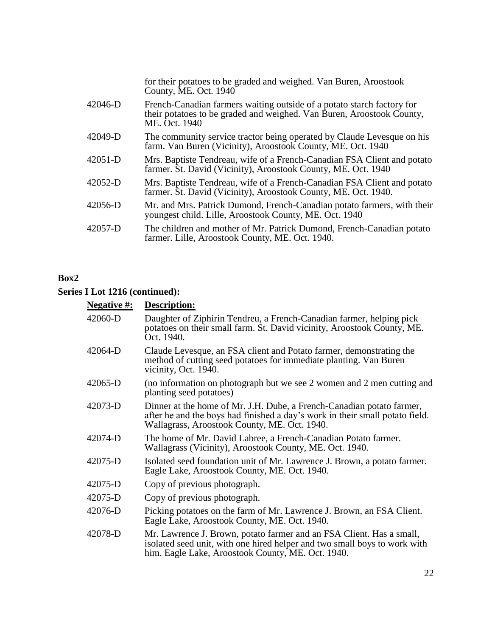|           | for their potatoes to be graded and weighed. Van Buren, Aroostook<br>County, ME. Oct. 1940                                                                       |  |  |
|-----------|------------------------------------------------------------------------------------------------------------------------------------------------------------------|--|--|
| 42046-D   | French-Canadian farmers waiting outside of a potato starch factory for<br>their potatoes to be graded and weighed. Van Buren, Aroostook County,<br>ME. Oct. 1940 |  |  |
| 42049-D   | The community service tractor being operated by Claude Levesque on his<br>farm. Van Buren (Vicinity), Aroostook County, ME. Oct. 1940                            |  |  |
| $42051-D$ | Mrs. Baptiste Tendreau, wife of a French-Canadian FSA Client and potato<br>farmer. St. David (Vicinity), Aroostook County, ME. Oct. 1940                         |  |  |
| $42052-D$ | Mrs. Baptiste Tendreau, wife of a French-Canadian FSA Client and potato<br>farmer. St. David (Vicinity), Aroostook County, ME. Oct. 1940.                        |  |  |
| 42056-D   | Mr. and Mrs. Patrick Dumond, French-Canadian potato farmers, with their<br>youngest child. Lille, Aroostook County, ME. Oct. 1940                                |  |  |
| 42057-D   | The children and mother of Mr. Patrick Dumond, French-Canadian potato<br>farmer. Lille, Aroostook County, ME. Oct. 1940.                                         |  |  |

| <b>Negative #:</b> | Description:                                                                                                                                                                                           |  |  |
|--------------------|--------------------------------------------------------------------------------------------------------------------------------------------------------------------------------------------------------|--|--|
| 42060-D            | Daughter of Ziphirin Tendreu, a French-Canadian farmer, helping pick<br>potatoes on their small farm. St. David vicinity, Aroostook County, ME.<br>Oct. 1940.                                          |  |  |
| 42064-D            | Claude Levesque, an FSA client and Potato farmer, demonstrating the<br>method of cutting seed potatoes for immediate planting. Van Buren<br>vicinity, Oct. 1940.                                       |  |  |
| 42065-D            | (no information on photograph but we see 2 women and 2 men cutting and<br>planting seed potatoes)                                                                                                      |  |  |
| 42073-D            | Dinner at the home of Mr. J.H. Dube, a French-Canadian potato farmer,<br>after he and the boys had finished a day's work in their small potato field.<br>Wallagrass, Aroostook County, ME. Oct. 1940.  |  |  |
| 42074-D            | The home of Mr. David Labree, a French-Canadian Potato farmer.<br>Wallagrass (Vicinity), Aroostook County, ME. Oct. 1940.                                                                              |  |  |
| 42075-D            | Isolated seed foundation unit of Mr. Lawrence J. Brown, a potato farmer.<br>Eagle Lake, Aroostook County, ME. Oct. 1940.                                                                               |  |  |
| 42075-D            | Copy of previous photograph.                                                                                                                                                                           |  |  |
| 42075-D            | Copy of previous photograph.                                                                                                                                                                           |  |  |
| 42076-D            | Picking potatoes on the farm of Mr. Lawrence J. Brown, an FSA Client.<br>Eagle Lake, Aroostook County, ME. Oct. 1940.                                                                                  |  |  |
| 42078-D            | Mr. Lawrence J. Brown, potato farmer and an FSA Client. Has a small,<br>isolated seed unit, with one hired helper and two small boys to work with<br>him. Eagle Lake, Aroostook County, ME. Oct. 1940. |  |  |
|                    |                                                                                                                                                                                                        |  |  |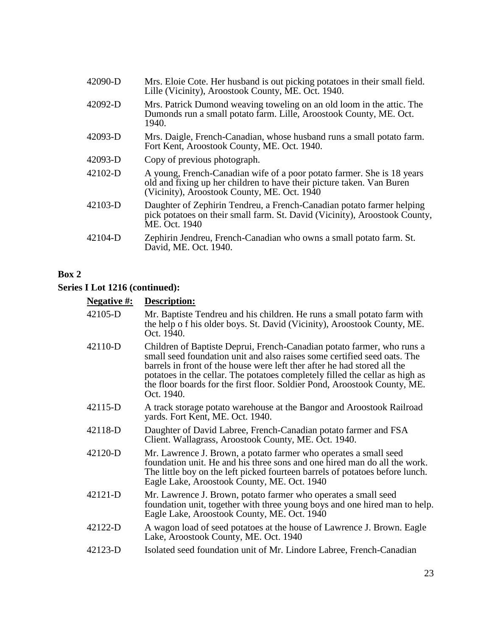| 42090-D   | Mrs. Eloie Cote. Her husband is out picking potatoes in their small field.<br>Lille (Vicinity), Aroostook County, ME. Oct. 1940.                                                               |  |  |
|-----------|------------------------------------------------------------------------------------------------------------------------------------------------------------------------------------------------|--|--|
| 42092-D   | Mrs. Patrick Dumond weaving toweling on an old loom in the attic. The<br>Dumonds run a small potato farm. Lille, Aroostook County, ME. Oct.<br>1940.                                           |  |  |
| 42093-D   | Mrs. Daigle, French-Canadian, whose husband runs a small potato farm.<br>Fort Kent, Aroostook County, ME. Oct. 1940.                                                                           |  |  |
| 42093-D   | Copy of previous photograph.                                                                                                                                                                   |  |  |
| $42102-D$ | A young, French-Canadian wife of a poor potato farmer. She is 18 years<br>old and fixing up her children to have their picture taken. Van Buren<br>(Vicinity), Aroostook County, ME. Oct. 1940 |  |  |
| 42103-D   | Daughter of Zephirin Tendreu, a French-Canadian potato farmer helping<br>pick potatoes on their small farm. St. David (Vicinity), Aroostook County,<br>ME. Oct. 1940                           |  |  |
| 42104-D   | Zephirin Jendreu, French-Canadian who owns a small potato farm. St.<br>David, ME. Oct. 1940.                                                                                                   |  |  |

# **Series I Lot 1216 (continued):**

### **Negative #: Description:**

| 42105-D | Mr. Baptiste Tendreu and his children. He runs a small potato farm with<br>the help of his older boys. St. David (Vicinity), Aroostook County, ME.<br>Oct. 1940.                                                                                                                                                                                                                                          |  |  |
|---------|-----------------------------------------------------------------------------------------------------------------------------------------------------------------------------------------------------------------------------------------------------------------------------------------------------------------------------------------------------------------------------------------------------------|--|--|
| 42110-D | Children of Baptiste Deprui, French-Canadian potato farmer, who runs a<br>small seed foundation unit and also raises some certified seed oats. The<br>barrels in front of the house were left ther after he had stored all the<br>potatoes in the cellar. The potatoes completely filled the cellar as high as<br>the floor boards for the first floor. Soldier Pond, Aroostook County, ME.<br>Oct. 1940. |  |  |
| 42115-D | A track storage potato warehouse at the Bangor and Aroostook Railroad<br>yards. Fort Kent, ME. Oct. 1940.                                                                                                                                                                                                                                                                                                 |  |  |
| 42118-D | Daughter of David Labree, French-Canadian potato farmer and FSA<br>Client. Wallagrass, Aroostook County, ME. Oct. 1940.                                                                                                                                                                                                                                                                                   |  |  |
| 42120-D | Mr. Lawrence J. Brown, a potato farmer who operates a small seed<br>foundation unit. He and his three sons and one hired man do all the work.<br>The little boy on the left picked fourteen barrels of potatoes before lunch.<br>Eagle Lake, Aroostook County, ME. Oct. 1940                                                                                                                              |  |  |
| 42121-D | Mr. Lawrence J. Brown, potato farmer who operates a small seed<br>foundation unit, together with three young boys and one hired man to help.<br>Eagle Lake, Aroostook County, ME. Oct. 1940                                                                                                                                                                                                               |  |  |
| 42122-D | A wagon load of seed potatoes at the house of Lawrence J. Brown. Eagle<br>Lake, Aroostook County, ME. Oct. 1940                                                                                                                                                                                                                                                                                           |  |  |
| 42123-D | Isolated seed foundation unit of Mr. Lindore Labree, French-Canadian                                                                                                                                                                                                                                                                                                                                      |  |  |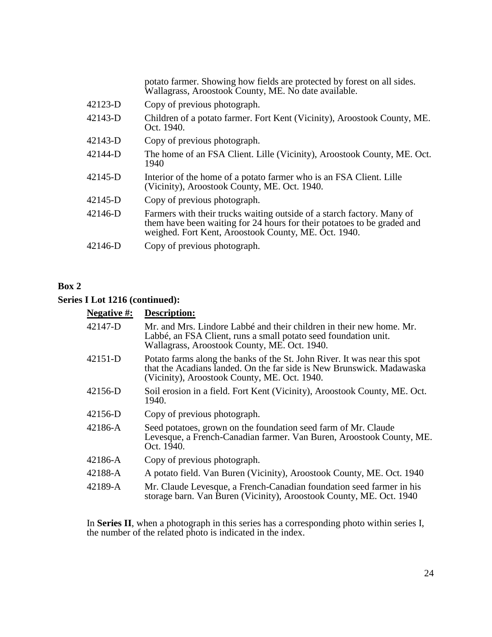|         | potato farmer. Showing how fields are protected by forest on all sides.<br>Wallagrass, Aroostook County, ME. No date available.                                                                           |  |  |
|---------|-----------------------------------------------------------------------------------------------------------------------------------------------------------------------------------------------------------|--|--|
| 42123-D | Copy of previous photograph.                                                                                                                                                                              |  |  |
| 42143-D | Children of a potato farmer. Fort Kent (Vicinity), Aroostook County, ME.<br>Oct. 1940.                                                                                                                    |  |  |
| 42143-D | Copy of previous photograph.                                                                                                                                                                              |  |  |
| 42144-D | The home of an FSA Client. Lille (Vicinity), Aroostook County, ME. Oct.<br>1940                                                                                                                           |  |  |
| 42145-D | Interior of the home of a potato farmer who is an FSA Client. Lille<br>(Vicinity), Aroostook County, ME. Oct. 1940.                                                                                       |  |  |
| 42145-D | Copy of previous photograph.                                                                                                                                                                              |  |  |
| 42146-D | Farmers with their trucks waiting outside of a starch factory. Many of<br>them have been waiting for 24 hours for their potatoes to be graded and<br>weighed. Fort Kent, Aroostook County, ME. Oct. 1940. |  |  |
| 42146-D | Copy of previous photograph.                                                                                                                                                                              |  |  |
|         |                                                                                                                                                                                                           |  |  |

### **Series I Lot 1216 (continued):**

# **Negative #: Description:**

| 1 1 <b>.</b> |                                                                                                                                                                                                    |  |  |
|--------------|----------------------------------------------------------------------------------------------------------------------------------------------------------------------------------------------------|--|--|
| 42147-D      | Mr. and Mrs. Lindore Labbé and their children in their new home. Mr.<br>Labbé, an FSA Client, runs a small potato seed foundation unit.<br>Wallagrass, Aroostook County, ME. Oct. 1940.            |  |  |
| 42151-D      | Potato farms along the banks of the St. John River. It was near this spot<br>that the Acadians landed. On the far side is New Brunswick. Madawaska<br>(Vicinity), Aroostook County, ME. Oct. 1940. |  |  |
| 42156-D      | Soil erosion in a field. Fort Kent (Vicinity), Aroostook County, ME. Oct.<br>1940.                                                                                                                 |  |  |
| 42156-D      | Copy of previous photograph.                                                                                                                                                                       |  |  |
| 42186-A      | Seed potatoes, grown on the foundation seed farm of Mr. Claude<br>Levesque, a French-Canadian farmer. Van Buren, Aroostook County, ME.<br>Oct. 1940.                                               |  |  |
| 42186-A      | Copy of previous photograph.                                                                                                                                                                       |  |  |
| 42188-A      | A potato field. Van Buren (Vicinity), Aroostook County, ME. Oct. 1940                                                                                                                              |  |  |
| 42189-A      | Mr. Claude Levesque, a French-Canadian foundation seed farmer in his<br>storage barn. Van Buren (Vicinity), Aroostook County, ME. Oct. 1940                                                        |  |  |

In **Series II**, when a photograph in this series has a corresponding photo within series I, the number of the related photo is indicated in the index.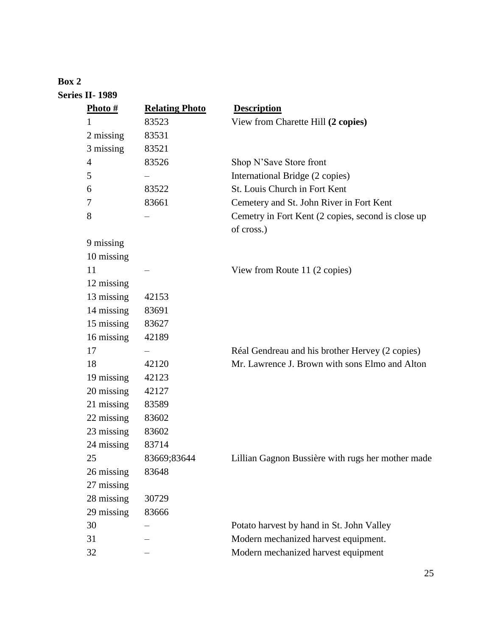# **Box 2 Series II- 1989**

| Photo #        | <b>Relating Photo</b> | <b>Description</b>                                               |
|----------------|-----------------------|------------------------------------------------------------------|
| 1              | 83523                 | View from Charette Hill (2 copies)                               |
| 2 missing      | 83531                 |                                                                  |
| 3 missing      | 83521                 |                                                                  |
| $\overline{4}$ | 83526                 | Shop N'Save Store front                                          |
| 5              |                       | International Bridge (2 copies)                                  |
| 6              | 83522                 | St. Louis Church in Fort Kent                                    |
| 7              | 83661                 | Cemetery and St. John River in Fort Kent                         |
| 8              |                       | Cemetry in Fort Kent (2 copies, second is close up<br>of cross.) |
| 9 missing      |                       |                                                                  |
| 10 missing     |                       |                                                                  |
| 11             |                       | View from Route 11 (2 copies)                                    |
| 12 missing     |                       |                                                                  |
| 13 missing     | 42153                 |                                                                  |
| 14 missing     | 83691                 |                                                                  |
| 15 missing     | 83627                 |                                                                  |
| 16 missing     | 42189                 |                                                                  |
| 17             |                       | Réal Gendreau and his brother Hervey (2 copies)                  |
| 18             | 42120                 | Mr. Lawrence J. Brown with sons Elmo and Alton                   |
| 19 missing     | 42123                 |                                                                  |
| 20 missing     | 42127                 |                                                                  |
| 21 missing     | 83589                 |                                                                  |
| 22 missing     | 83602                 |                                                                  |
| 23 missing     | 83602                 |                                                                  |
| 24 missing     | 83714                 |                                                                  |
| 25             | 83669;83644           | Lillian Gagnon Bussière with rugs her mother made                |
| 26 missing     | 83648                 |                                                                  |
| 27 missing     |                       |                                                                  |
| 28 missing     | 30729                 |                                                                  |
| 29 missing     | 83666                 |                                                                  |
| 30             |                       | Potato harvest by hand in St. John Valley                        |
| 31             |                       | Modern mechanized harvest equipment.                             |
| 32             |                       | Modern mechanized harvest equipment                              |